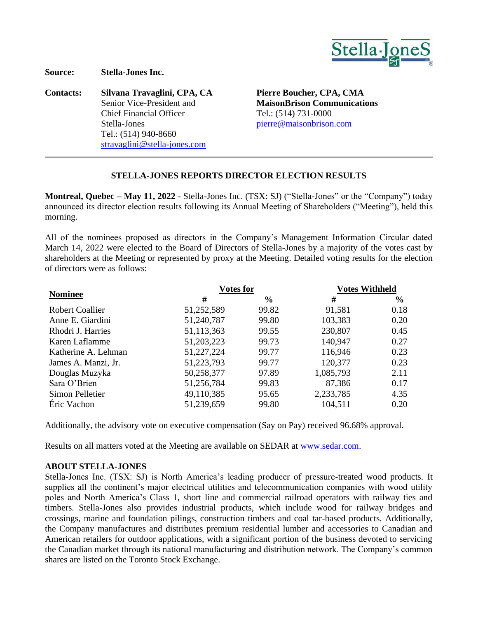

**Source: Stella-Jones Inc.**

**Contacts: Silvana Travaglini, CPA, CA Pierre Boucher, CPA, CMA** Senior Vice-President and Chief Financial Officer Stella-Jones Tel.: (514) 940-8660 [stravaglini@stella-jones.com](mailto:evachon@stella-jones.com)

**MaisonBrison Communications** Tel.: (514) 731-0000 [pierre@maisonbrison.com](mailto:pierre@maisonbrison.com)

## **STELLA-JONES REPORTS DIRECTOR ELECTION RESULTS**

**Montreal, Quebec – May 11, 2022** - Stella-Jones Inc. (TSX: SJ) ("Stella-Jones" or the "Company") today announced its director election results following its Annual Meeting of Shareholders ("Meeting"), held this morning.

All of the nominees proposed as directors in the Company's Management Information Circular dated March 14, 2022 were elected to the Board of Directors of Stella-Jones by a majority of the votes cast by shareholders at the Meeting or represented by proxy at the Meeting. Detailed voting results for the election of directors were as follows:

| <b>Nominee</b>         | <b>Votes for</b> |               | <b>Votes Withheld</b> |               |
|------------------------|------------------|---------------|-----------------------|---------------|
|                        | #                | $\frac{6}{6}$ | #                     | $\frac{6}{9}$ |
| <b>Robert Coallier</b> | 51,252,589       | 99.82         | 91,581                | 0.18          |
| Anne E. Giardini       | 51,240,787       | 99.80         | 103,383               | 0.20          |
| Rhodri J. Harries      | 51,113,363       | 99.55         | 230,807               | 0.45          |
| Karen Laflamme         | 51,203,223       | 99.73         | 140,947               | 0.27          |
| Katherine A. Lehman    | 51,227,224       | 99.77         | 116,946               | 0.23          |
| James A. Manzi, Jr.    | 51,223,793       | 99.77         | 120,377               | 0.23          |
| Douglas Muzyka         | 50,258,377       | 97.89         | 1,085,793             | 2.11          |
| Sara O'Brien           | 51,256,784       | 99.83         | 87,386                | 0.17          |
| Simon Pelletier        | 49,110,385       | 95.65         | 2,233,785             | 4.35          |
| Éric Vachon            | 51,239,659       | 99.80         | 104,511               | 0.20          |

Additionally, the advisory vote on executive compensation (Say on Pay) received 96.68% approval.

Results on all matters voted at the Meeting are available on SEDAR at [www.sedar.com.](http://www.sedar.com/)

## **ABOUT STELLA-JONES**

Stella-Jones Inc. (TSX: SJ) is North America's leading producer of pressure-treated wood products. It supplies all the continent's major electrical utilities and telecommunication companies with wood utility poles and North America's Class 1, short line and commercial railroad operators with railway ties and timbers. Stella-Jones also provides industrial products, which include wood for railway bridges and crossings, marine and foundation pilings, construction timbers and coal tar-based products. Additionally, the Company manufactures and distributes premium residential lumber and accessories to Canadian and American retailers for outdoor applications, with a significant portion of the business devoted to servicing the Canadian market through its national manufacturing and distribution network. The Company's common shares are listed on the Toronto Stock Exchange.